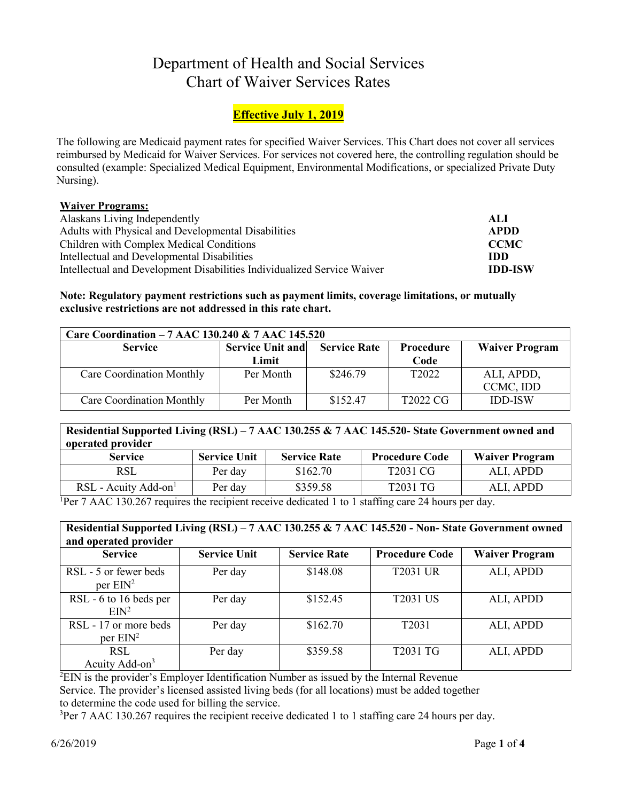# Department of Health and Social Services Chart of Waiver Services Rates

# **Effective July 1, 2019**

The following are Medicaid payment rates for specified Waiver Services. This Chart does not cover all services reimbursed by Medicaid for Waiver Services. For services not covered here, the controlling regulation should be consulted (example: Specialized Medical Equipment, Environmental Modifications, or specialized Private Duty Nursing).

#### **Waiver Programs:**

| Alaskans Living Independently                                           | ALI            |
|-------------------------------------------------------------------------|----------------|
| Adults with Physical and Developmental Disabilities                     | APDD           |
| Children with Complex Medical Conditions                                | <b>CCMC</b>    |
| Intellectual and Developmental Disabilities                             | IDD.           |
| Intellectual and Development Disabilities Individualized Service Waiver | <b>IDD-ISW</b> |

#### **Note: Regulatory payment restrictions such as payment limits, coverage limitations, or mutually exclusive restrictions are not addressed in this rate chart.**

| Care Coordination - 7 AAC 130.240 & 7 AAC 145.520                                                      |           |          |                      |                |  |
|--------------------------------------------------------------------------------------------------------|-----------|----------|----------------------|----------------|--|
| <b>Service Unit and</b><br><b>Service</b><br><b>Waiver Program</b><br><b>Service Rate</b><br>Procedure |           |          |                      |                |  |
|                                                                                                        | Limit     |          | Code                 |                |  |
| Care Coordination Monthly                                                                              | Per Month | \$246.79 | T <sub>2022</sub>    | ALI, APDD,     |  |
|                                                                                                        |           |          |                      | CCMC, IDD      |  |
| Care Coordination Monthly                                                                              | Per Month | \$152.47 | T <sub>2022</sub> CG | <b>IDD-ISW</b> |  |

### **Residential Supported Living (RSL) – 7 AAC 130.255 & 7 AAC 145.520- State Government owned and operated provider**

| <b>Service</b>                     | <b>Service Unit</b> | <b>Service Rate</b>                                                                                                                                                                                                                                                                                                                | <b>Procedure Code</b> | <b>Waiver Program</b> |
|------------------------------------|---------------------|------------------------------------------------------------------------------------------------------------------------------------------------------------------------------------------------------------------------------------------------------------------------------------------------------------------------------------|-----------------------|-----------------------|
| RSL                                | Per day             | \$162.70                                                                                                                                                                                                                                                                                                                           | T2031 CG              | ALI, APDD             |
| $RSL$ - Acuity Add-on <sup>1</sup> | Per day             | \$359.58                                                                                                                                                                                                                                                                                                                           | T2031 TG              | ALI, APDD             |
| $\sim$                             |                     | $\mathbf{1}$ $\mathbf{1}$ $\mathbf{1}$ $\mathbf{1}$ $\mathbf{1}$ $\mathbf{1}$ $\mathbf{1}$ $\mathbf{1}$ $\mathbf{1}$ $\mathbf{1}$ $\mathbf{1}$ $\mathbf{1}$ $\mathbf{1}$ $\mathbf{1}$ $\mathbf{1}$ $\mathbf{1}$ $\mathbf{1}$ $\mathbf{1}$ $\mathbf{1}$ $\mathbf{1}$ $\mathbf{1}$ $\mathbf{1}$ $\mathbf{1}$ $\mathbf{1}$ $\mathbf{$ |                       |                       |

<sup>1</sup>Per 7 AAC 130.267 requires the recipient receive dedicated 1 to 1 staffing care 24 hours per day.

| Residential Supported Living (RSL) - 7 AAC 130.255 & 7 AAC 145.520 - Non-State Government owned<br>and operated provider |                     |                     |                       |                       |  |
|--------------------------------------------------------------------------------------------------------------------------|---------------------|---------------------|-----------------------|-----------------------|--|
| <b>Service</b>                                                                                                           | <b>Service Unit</b> | <b>Service Rate</b> | <b>Procedure Code</b> | <b>Waiver Program</b> |  |
| RSL - 5 or fewer beds<br>per $EIN^2$                                                                                     | Per day             | \$148.08            | <b>T2031 UR</b>       | ALI, APDD             |  |
| RSL - 6 to 16 beds per<br>EM <sup>2</sup>                                                                                | Per day             | \$152.45            | <b>T2031 US</b>       | ALI, APDD             |  |
| RSL - 17 or more beds<br>per $EM^2$                                                                                      | Per day             | \$162.70            | T <sub>2031</sub>     | ALI, APDD             |  |
| <b>RSL</b><br>Acuity Add-on <sup>3</sup>                                                                                 | Per day             | \$359.58            | T2031 TG              | ALI, APDD             |  |

 ${}^{2}$ EIN is the provider's Employer Identification Number as issued by the Internal Revenue Service. The provider's licensed assisted living beds (for all locations) must be added together to determine the code used for billing the service.

 $3$ Per 7 AAC 130.267 requires the recipient receive dedicated 1 to 1 staffing care 24 hours per day.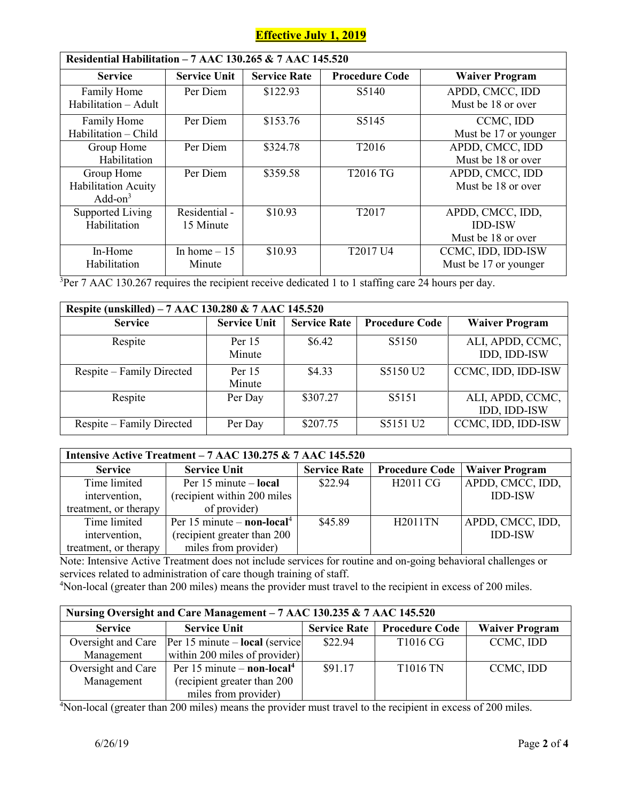## **Effective July 1, 2019**

| Residential Habilitation - 7 AAC 130.265 & 7 AAC 145.520 |                     |                     |                                  |                       |  |  |
|----------------------------------------------------------|---------------------|---------------------|----------------------------------|-----------------------|--|--|
| <b>Service</b>                                           | <b>Service Unit</b> | <b>Service Rate</b> | <b>Procedure Code</b>            | <b>Waiver Program</b> |  |  |
| Family Home                                              | Per Diem            | \$122.93            | S <sub>5</sub> 140               | APDD, CMCC, IDD       |  |  |
| Habilitation - Adult                                     |                     |                     |                                  | Must be 18 or over    |  |  |
| Family Home                                              | Per Diem            | \$153.76            | S5145                            | CCMC, IDD             |  |  |
| Habilitation - Child                                     |                     |                     |                                  | Must be 17 or younger |  |  |
| Group Home                                               | Per Diem            | \$324.78            | T2016                            | APDD, CMCC, IDD       |  |  |
| Habilitation                                             |                     |                     |                                  | Must be 18 or over    |  |  |
| Group Home                                               | Per Diem            | \$359.58            | T2016 TG                         | APDD, CMCC, IDD       |  |  |
| <b>Habilitation Acuity</b>                               |                     |                     |                                  | Must be 18 or over    |  |  |
| $Add-on3$                                                |                     |                     |                                  |                       |  |  |
| <b>Supported Living</b>                                  | Residential -       | \$10.93             | T <sub>2017</sub>                | APDD, CMCC, IDD,      |  |  |
| Habilitation                                             | 15 Minute           |                     |                                  | <b>IDD-ISW</b>        |  |  |
|                                                          |                     |                     |                                  | Must be 18 or over    |  |  |
| In-Home                                                  | In home $-15$       | \$10.93             | T <sub>2017</sub> U <sub>4</sub> | CCMC, IDD, IDD-ISW    |  |  |
| Habilitation                                             | Minute              |                     |                                  | Must be 17 or younger |  |  |

<sup>3</sup>Per 7 AAC 130.267 requires the recipient receive dedicated 1 to 1 staffing care 24 hours per day.

| Respite (unskilled) – 7 AAC 130.280 & 7 AAC 145.520 |                     |                     |                       |                                  |  |
|-----------------------------------------------------|---------------------|---------------------|-----------------------|----------------------------------|--|
| <b>Service</b>                                      | <b>Service Unit</b> | <b>Service Rate</b> | <b>Procedure Code</b> | <b>Waiver Program</b>            |  |
| Respite                                             | Per $15$<br>Minute  | \$6.42              | S5150                 | ALI, APDD, CCMC,<br>IDD, IDD-ISW |  |
| Respite – Family Directed                           | Per 15<br>Minute    | \$4.33              | S5150 U2              | CCMC, IDD, IDD-ISW               |  |
| Respite                                             | Per Day             | \$307.27            | S5151                 | ALI, APDD, CCMC,<br>IDD, IDD-ISW |  |
| Respite – Family Directed                           | Per Day             | \$207.75            | S5151 U2              | CCMC, IDD, IDD-ISW               |  |

| Intensive Active Treatment - 7 AAC 130.275 & 7 AAC 145.520 |                                        |                     |                       |                  |  |
|------------------------------------------------------------|----------------------------------------|---------------------|-----------------------|------------------|--|
| <b>Service</b>                                             | <b>Service Unit</b>                    | <b>Service Rate</b> | <b>Procedure Code</b> | Waiver Program   |  |
| Time limited                                               | Per $15$ minute – local                | \$22.94             | H <sub>2011</sub> CG  | APDD, CMCC, IDD, |  |
| intervention,                                              | (recipient within 200 miles)           |                     |                       | <b>IDD-ISW</b>   |  |
| treatment, or therapy                                      | of provider)                           |                     |                       |                  |  |
| Time limited                                               | Per 15 minute – non-local <sup>4</sup> | \$45.89             | <b>H2011TN</b>        | APDD, CMCC, IDD, |  |
| intervention,                                              | (recipient greater than 200            |                     |                       | <b>IDD-ISW</b>   |  |
| treatment, or therapy                                      | miles from provider)                   |                     |                       |                  |  |

Note: Intensive Active Treatment does not include services for routine and on-going behavioral challenges or services related to administration of care though training of staff.

4 Non-local (greater than 200 miles) means the provider must travel to the recipient in excess of 200 miles.

| Nursing Oversight and Care Management – 7 AAC 130.235 & 7 AAC 145.520 |                                                             |                     |                       |                       |
|-----------------------------------------------------------------------|-------------------------------------------------------------|---------------------|-----------------------|-----------------------|
| <b>Service</b>                                                        | <b>Service Unit</b>                                         | <b>Service Rate</b> | <b>Procedure Code</b> | <b>Waiver Program</b> |
|                                                                       | Oversight and Care   Per 15 minute – <b>local</b> (service) | \$22.94             | T1016 CG              | CCMC, IDD             |
| Management                                                            | within 200 miles of provider)                               |                     |                       |                       |
| Oversight and Care                                                    | Per 15 minute $-$ non-local <sup>4</sup>                    | \$91.17             | <b>T1016 TN</b>       | CCMC, IDD             |
| Management                                                            | (recipient greater than 200                                 |                     |                       |                       |
|                                                                       | miles from provider)                                        |                     |                       |                       |

4 Non-local (greater than 200 miles) means the provider must travel to the recipient in excess of 200 miles.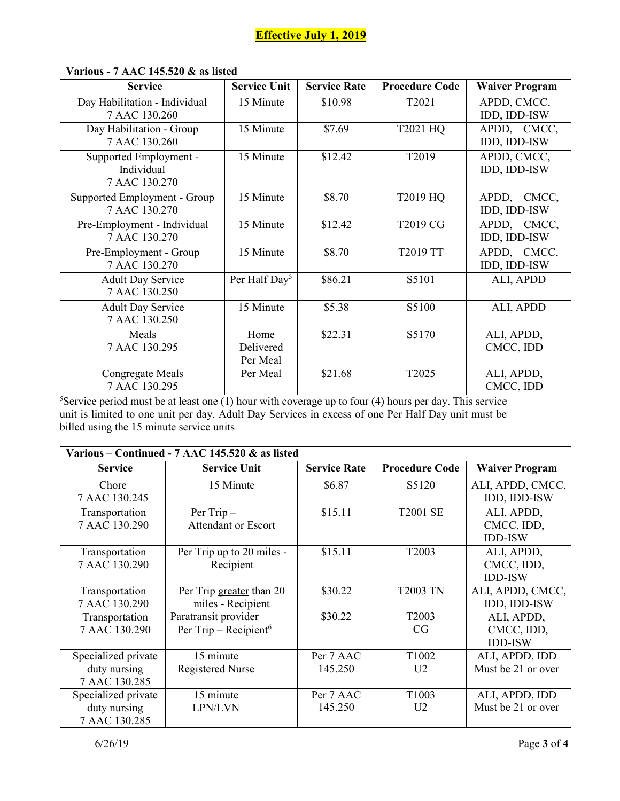| Various - 7 AAC 145.520 & as listed                   |                               |                     |                       |                             |
|-------------------------------------------------------|-------------------------------|---------------------|-----------------------|-----------------------------|
| <b>Service</b>                                        | <b>Service Unit</b>           | <b>Service Rate</b> | <b>Procedure Code</b> | <b>Waiver Program</b>       |
| Day Habilitation - Individual<br>7 AAC 130.260        | 15 Minute                     | \$10.98             | T2021                 | APDD, CMCC,<br>IDD, IDD-ISW |
| Day Habilitation - Group<br>7 AAC 130.260             | 15 Minute                     | \$7.69              | T2021 HQ              | APDD, CMCC,<br>IDD, IDD-ISW |
| Supported Employment -<br>Individual<br>7 AAC 130.270 | 15 Minute                     | \$12.42             | T2019                 | APDD, CMCC,<br>IDD, IDD-ISW |
| Supported Employment - Group<br>7 AAC 130.270         | 15 Minute                     | \$8.70              | T2019 HQ              | APDD, CMCC,<br>IDD, IDD-ISW |
| Pre-Employment - Individual<br>7 AAC 130.270          | 15 Minute                     | \$12.42             | T2019 CG              | APDD, CMCC,<br>IDD, IDD-ISW |
| Pre-Employment - Group<br>7 AAC 130.270               | 15 Minute                     | \$8.70              | T2019 TT              | APDD, CMCC,<br>IDD, IDD-ISW |
| <b>Adult Day Service</b><br>7 AAC 130.250             | Per Half Day <sup>5</sup>     | \$86.21             | S5101                 | ALI, APDD                   |
| <b>Adult Day Service</b><br>7 AAC 130.250             | 15 Minute                     | \$5.38              | S5100                 | ALI, APDD                   |
| Meals<br>7 AAC 130.295                                | Home<br>Delivered<br>Per Meal | \$22.31             | S5170                 | ALI, APDD,<br>CMCC, IDD     |
| Congregate Meals<br>7 AAC 130.295                     | Per Meal                      | \$21.68             | T2025                 | ALI, APDD,<br>CMCC, IDD     |

<sup>5</sup>Service period must be at least one  $(1)$  hour with coverage up to four  $(4)$  hours per day. This service unit is limited to one unit per day. Adult Day Services in excess of one Per Half Day unit must be billed using the 15 minute service units

|                     | Various – Continued - 7 AAC 145.520 & as listed |                     |                       |                       |  |
|---------------------|-------------------------------------------------|---------------------|-----------------------|-----------------------|--|
| <b>Service</b>      | <b>Service Unit</b>                             | <b>Service Rate</b> | <b>Procedure Code</b> | <b>Waiver Program</b> |  |
| Chore               | 15 Minute                                       | \$6.87              | S <sub>5</sub> 120    | ALI, APDD, CMCC,      |  |
| 7 AAC 130.245       |                                                 |                     |                       | IDD, IDD-ISW          |  |
| Transportation      | Per Trip-                                       | \$15.11             | <b>T2001 SE</b>       | ALI, APDD,            |  |
| 7 AAC 130.290       | <b>Attendant or Escort</b>                      |                     |                       | CMCC, IDD,            |  |
|                     |                                                 |                     |                       | <b>IDD-ISW</b>        |  |
| Transportation      | Per Trip up to 20 miles -                       | \$15.11             | T <sub>2003</sub>     | ALI, APDD,            |  |
| 7 AAC 130.290       | Recipient                                       |                     |                       | CMCC, IDD,            |  |
|                     |                                                 |                     |                       | <b>IDD-ISW</b>        |  |
| Transportation      | Per Trip greater than 20                        | \$30.22             | <b>T2003 TN</b>       | ALI, APDD, CMCC,      |  |
| 7 AAC 130.290       | miles - Recipient                               |                     |                       | IDD, IDD-ISW          |  |
| Transportation      | Paratransit provider                            | \$30.22             | T <sub>2003</sub>     | ALI, APDD,            |  |
| 7 AAC 130.290       | Per Trip – Recipient <sup>6</sup>               |                     | CG                    | CMCC, IDD,            |  |
|                     |                                                 |                     |                       | <b>IDD-ISW</b>        |  |
| Specialized private | 15 minute                                       | Per 7 AAC           | T <sub>1002</sub>     | ALI, APDD, IDD        |  |
| duty nursing        | <b>Registered Nurse</b>                         | 145.250             | U <sub>2</sub>        | Must be 21 or over    |  |
| 7 AAC 130.285       |                                                 |                     |                       |                       |  |
| Specialized private | 15 minute                                       | Per 7 AAC           | T1003                 | ALI, APDD, IDD        |  |
| duty nursing        | LPN/LVN                                         | 145.250             | U <sub>2</sub>        | Must be 21 or over    |  |
| 7 AAC 130.285       |                                                 |                     |                       |                       |  |